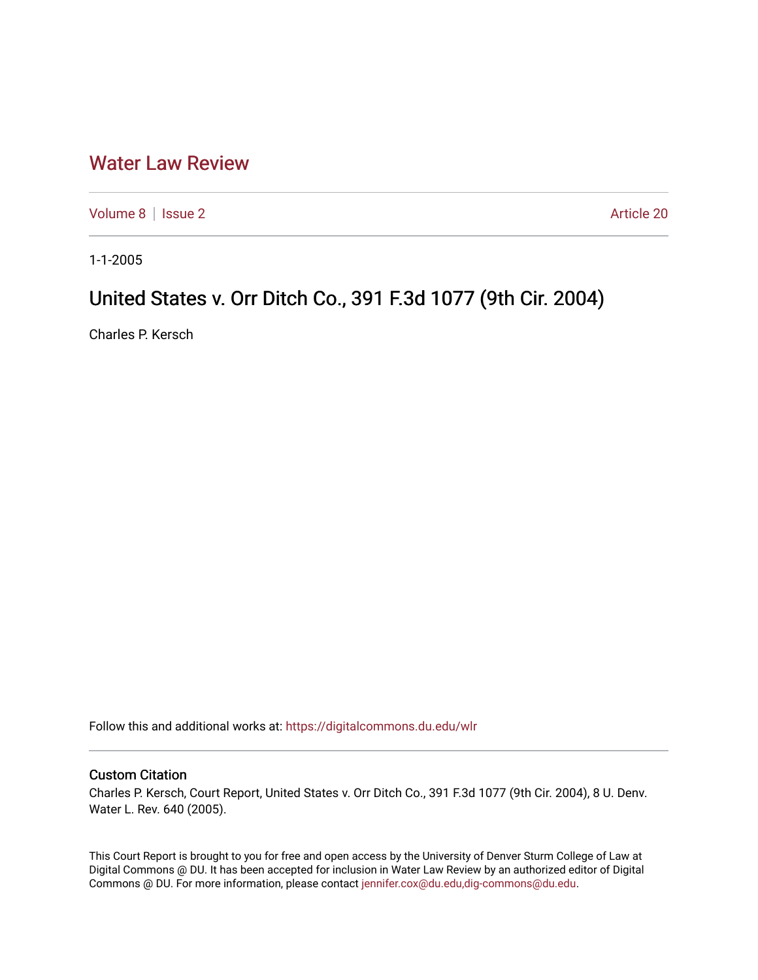## [Water Law Review](https://digitalcommons.du.edu/wlr)

[Volume 8](https://digitalcommons.du.edu/wlr/vol8) | [Issue 2](https://digitalcommons.du.edu/wlr/vol8/iss2) Article 20

1-1-2005

## United States v. Orr Ditch Co., 391 F.3d 1077 (9th Cir. 2004)

Charles P. Kersch

Follow this and additional works at: [https://digitalcommons.du.edu/wlr](https://digitalcommons.du.edu/wlr?utm_source=digitalcommons.du.edu%2Fwlr%2Fvol8%2Fiss2%2F20&utm_medium=PDF&utm_campaign=PDFCoverPages) 

## Custom Citation

Charles P. Kersch, Court Report, United States v. Orr Ditch Co., 391 F.3d 1077 (9th Cir. 2004), 8 U. Denv. Water L. Rev. 640 (2005).

This Court Report is brought to you for free and open access by the University of Denver Sturm College of Law at Digital Commons @ DU. It has been accepted for inclusion in Water Law Review by an authorized editor of Digital Commons @ DU. For more information, please contact [jennifer.cox@du.edu,dig-commons@du.edu.](mailto:jennifer.cox@du.edu,dig-commons@du.edu)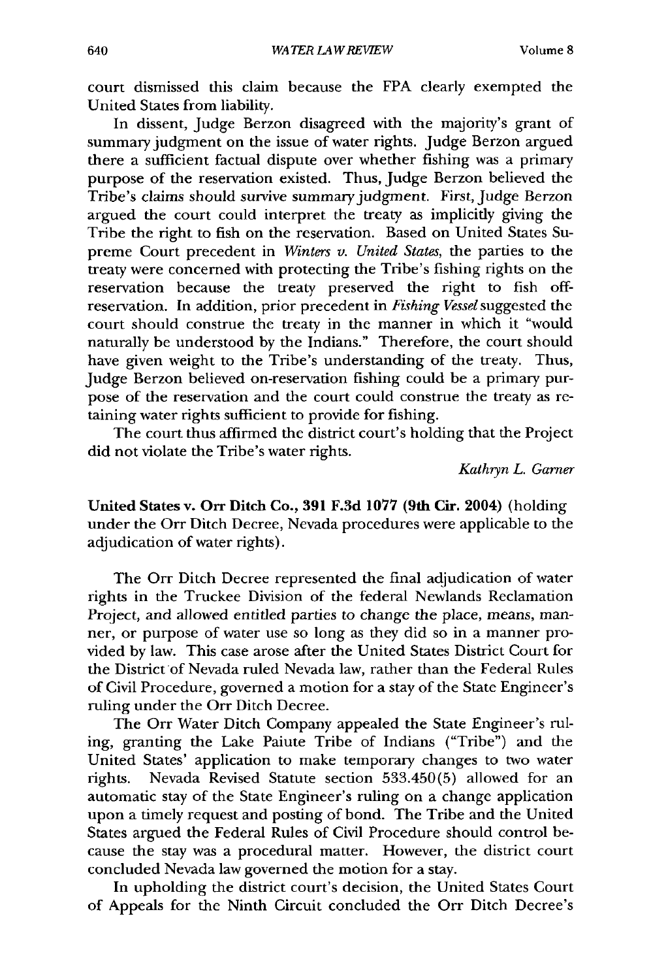court dismissed this claim because the FPA clearly exempted the United States from liability.

In dissent, Judge Berzon disagreed with the majority's grant of summary judgment on the issue of water rights. Judge Berzon argued there a sufficient factual dispute over whether fishing was a primary purpose of the reservation existed. Thus, judge Berzon believed the Tribe's claims should survive summary judgment. First, Judge Berzon argued the court could interpret the treaty as implicitly giving the Tribe the right to fish on the reservation. Based on United States Supreme Court precedent in *Winters v. United States,* the parties to the treaty were concerned with protecting the Tribe's fishing rights on the reservation because the treaty preserved the right to fish offreservation. In addition, prior precedent in *Fishing* Vessel suggested the court should construe the treaty in the manner in which it "would naturally be understood by the Indians." Therefore, the court should have given weight to the Tribe's understanding of the treaty. Thus, Judge Berzon believed on-reservation fishing could be a primary purpose of the reservation and the court could construe the treaty as retaining water rights sufficient to provide for fishing.

The court thus affirmed the district court's holding that the Project did not violate the Tribe's water rights.

*Kathryn L. Garner*

United States v. **Orr Ditch Co., 391 F.3d 1077 (9th Cir. 2004)** (holding under the Orr Ditch Decree, Nevada procedures were applicable to the adjudication of water rights).

The Orr Ditch Decree represented the final adjudication of water rights in the Truckee Division of the federal Newlands Reclamation Project, and allowed entitled parties to change the place, means, manner, or purpose of water use so long as they did so in a manner provided **by** law. This case arose after the United States District Court for the District of Nevada ruled Nevada law, rather than the Federal Rules of Civil Procedure, governed a motion for a stay of the State Engineer's ruling under the Orr Ditch Decree.

The Orr Water Ditch Company appealed the State Engineer's ruling, granting the Lake Paiute Tribe of Indians ("Tribe") and the United States' application to make temporary changes to two water rights. Nevada Revised Statute section **533.450(5)** allowed for an automatic stay of the State Engineer's ruling on a change application upon a timely request and posting of bond. The Tribe and the United States argued the Federal Rules of Civil Procedure should control because the stay was a procedural matter. However, the district court concluded Nevada law governed the motion for a stay.

In upholding the district court's decision, the United States Court of Appeals for the Ninth Circuit concluded the Orr Ditch Decree's